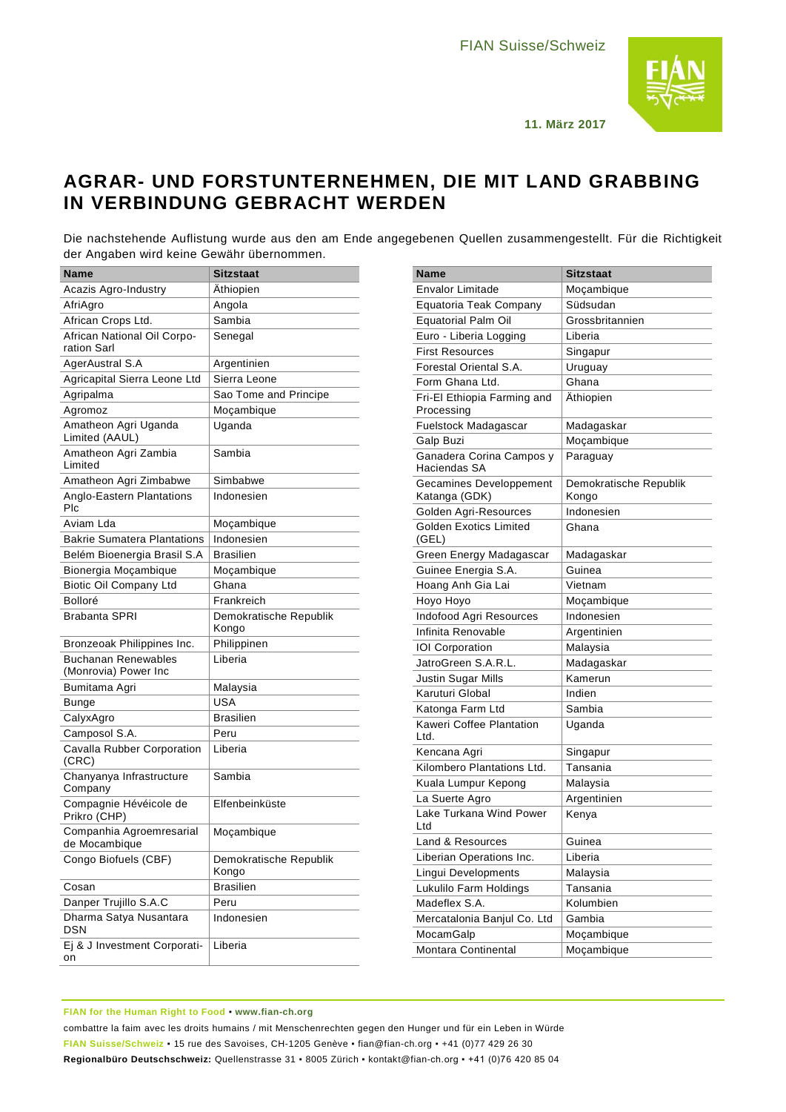

**11. März 2017**

## **AGRAR- UND FORSTUNTERNEHMEN, DIE MIT LAND GRABBING IN VERBINDUNG GEBRACHT WERDEN**

Die nachstehende Auflistung wurde aus den am Ende angegebenen Quellen zusammengestellt. Für die Richtigkeit der Angaben wird keine Gewähr übernommen.

| Name                                               | <b>Sitzstaat</b>                |
|----------------------------------------------------|---------------------------------|
| Acazis Agro-Industry                               | Athiopien                       |
| AfriAgro                                           | Angola                          |
| African Crops Ltd.                                 | Sambia                          |
| African National Oil Corpo-<br>ration Sarl         | Senegal                         |
| AgerAustral S.A                                    | Argentinien                     |
| Agricapital Sierra Leone Ltd                       | Sierra Leone                    |
| Agripalma                                          | Sao Tome and Principe           |
| Agromoz                                            | Moçambique                      |
| Amatheon Agri Uganda<br>Limited (AAUL)             | Uganda                          |
| Amatheon Agri Zambia<br>Limited                    | Sambia                          |
| Amatheon Agri Zimbabwe                             | Simbabwe                        |
| Anglo-Eastern Plantations<br>Plc                   | Indonesien                      |
| Aviam Lda                                          | Moçambique                      |
| <b>Bakrie Sumatera Plantations</b>                 | Indonesien                      |
| Belém Bioenergia Brasil S.A                        | <b>Brasilien</b>                |
| Bionergia Moçambique                               | Moçambique                      |
| <b>Biotic Oil Company Ltd</b>                      | Ghana                           |
| Bolloré                                            | Frankreich                      |
| <b>Brabanta SPRI</b>                               | Demokratische Republik<br>Kongo |
| Bronzeoak Philippines Inc.                         | Philippinen                     |
| <b>Buchanan Renewables</b><br>(Monrovia) Power Inc | Liberia                         |
| Bumitama Agri                                      | Malaysia                        |
| Bunge                                              | <b>USA</b>                      |
| CalyxAgro                                          | <b>Brasilien</b>                |
| Camposol S.A.                                      | Peru                            |
| Cavalla Rubber Corporation<br>(CRC)                | Liberia                         |
| Chanyanya Infrastructure<br>Company                | Sambia                          |
| Compagnie Hévéicole de<br>Prikro (CHP)             | Elfenbeinküste                  |
| Companhia Agroemresarial<br>de Mocambique          | Moçambique                      |
| Congo Biofuels (CBF)                               | Demokratische Republik<br>Kongo |
| Cosan                                              | <b>Brasilien</b>                |
| Danper Trujillo S.A.C                              | Peru                            |
| Dharma Satya Nusantara<br>DSN                      | Indonesien                      |
| Ej & J Investment Corporati-<br>on                 | Liberia                         |

| Name                                      | <b>Sitzstaat</b>                |
|-------------------------------------------|---------------------------------|
| Envalor Limitade                          | Moçambique                      |
| Equatoria Teak Company                    | Südsudan                        |
| <b>Equatorial Palm Oil</b>                | Grossbritannien                 |
| Euro - Liberia Logging                    | Liberia                         |
| <b>First Resources</b>                    | Singapur                        |
| Forestal Oriental S.A.                    | Uruguay                         |
| Form Ghana Ltd.                           | Ghana                           |
| Fri-El Ethiopia Farming and<br>Processing | Äthiopien                       |
| Fuelstock Madagascar                      | Madagaskar                      |
| Galp Buzi                                 | Moçambique                      |
| Ganadera Corina Campos y<br>Haciendas SA  | Paraguay                        |
| Gecamines Developpement<br>Katanga (GDK)  | Demokratische Republik<br>Kongo |
| Golden Agri-Resources                     | Indonesien                      |
| <b>Golden Exotics Limited</b><br>(GEL)    | Ghana                           |
| Green Energy Madagascar                   | Madagaskar                      |
| Guinee Energia S.A.                       | Guinea                          |
| Hoang Anh Gia Lai                         | Vietnam                         |
| Hoyo Hoyo                                 | Moçambique                      |
| Indofood Agri Resources                   | Indonesien                      |
| Infinita Renovable                        | Argentinien                     |
| <b>IOI Corporation</b>                    | Malaysia                        |
| JatroGreen S.A.R.L.                       | Madagaskar                      |
| Justin Sugar Mills                        | Kamerun                         |
| Karuturi Global                           | Indien                          |
| Katonga Farm Ltd                          | Sambia                          |
| Kaweri Coffee Plantation<br>Ltd.          | Uganda                          |
| Kencana Agri                              | Singapur                        |
| Kilombero Plantations Ltd.                | Tansania                        |
| Kuala Lumpur Kepong                       | Malaysia                        |
| La Suerte Agro                            | Argentinien                     |
| Lake Turkana Wind Power<br>Ltd            | Kenya                           |
| Land & Resources                          | Guinea                          |
| Liberian Operations Inc.                  | Liberia                         |
| Lingui Developments                       | Malaysia                        |
| Lukulilo Farm Holdings                    | Tansania                        |
| Madeflex S.A.                             | Kolumbien                       |
| Mercatalonia Banjul Co. Ltd               | Gambia                          |
| MocamGalp                                 | Moçambique                      |
| Montara Continental                       | Moçambique                      |

## **FIAN for the Human Right to Food** ▪ **[www.fian-ch.org](http://www.fian-ch.org/)**

combattre la faim avec les droits humains / mit Menschenrechten gegen den Hunger und für ein Leben in Würde **FIAN Suisse/Schweiz** ▪ 15 rue des Savoises, CH-1205 Genève ▪ fian@fian-ch.org ▪ +41 (0)77 429 26 30 **Regionalbüro Deutschschweiz:** Quellenstrasse 31 ▪ 8005 Zürich ▪ kontakt@fian-ch.org ▪ +41 (0)76 420 85 04